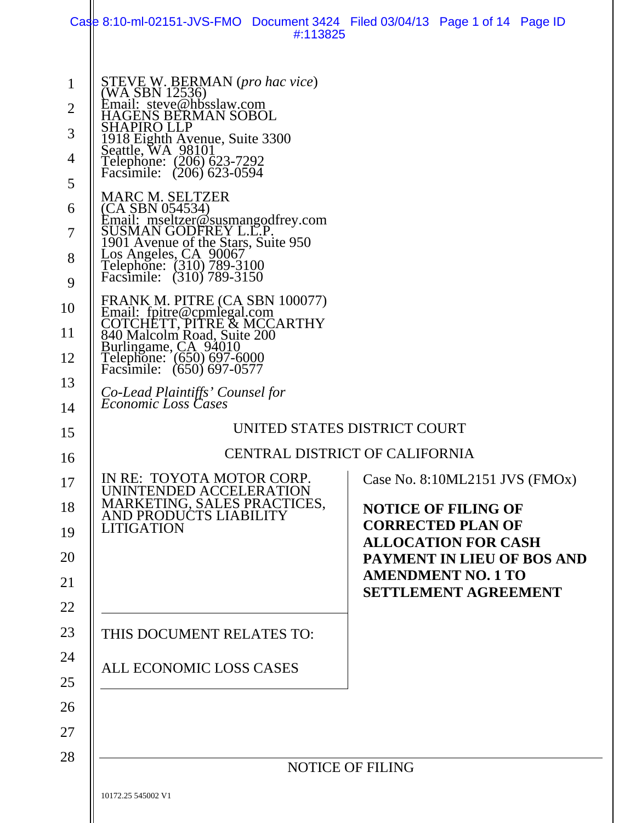|                                                                                                       | Case 8:10-ml-02151-JVS-FMO Document 3424 Filed 03/04/13 Page 1 of 14 Page ID<br>#:113825                                                                                                                                                                                                                                                                                                                                                                                                                                                                                                                                                                                                                                                     |                                                                                                                                                                                                                                                           |
|-------------------------------------------------------------------------------------------------------|----------------------------------------------------------------------------------------------------------------------------------------------------------------------------------------------------------------------------------------------------------------------------------------------------------------------------------------------------------------------------------------------------------------------------------------------------------------------------------------------------------------------------------------------------------------------------------------------------------------------------------------------------------------------------------------------------------------------------------------------|-----------------------------------------------------------------------------------------------------------------------------------------------------------------------------------------------------------------------------------------------------------|
| $\mathbf{1}$<br>$\overline{2}$<br>3<br>4<br>5<br>6<br>7<br>8<br>9<br>10<br>11<br>12<br>13<br>14<br>15 | STEVE W. BERMAN (pro hac vice)<br>(WA SBN 12536)<br>Email: steve@hbsslaw.com<br>GENS BERMAN SOBOL<br>SHAPIRO LLP<br>1918 Eighth Avenue, Suite 3300<br>Seattle, WA 98101<br>Telephone: (206) 623-7292<br>Facsimile: (206) 623-0594<br>MARC M. SELTZER<br>(CA SBN 054534)<br>Email: mseltzer@susmangodfrey.com<br>SUSMAN GODFREY L.C.P.<br>1901 Avenue of the Stars, Suite 950<br>Los Angeles, CA 90067<br>Telephone: (310) 789-3100<br>Facsimile: (310) 789-3150<br>FRANK M. PITRE (CA SBN 100077)<br>Email: fpitre@cpmlegal.com<br>COTCHETT, PITRE & MCCARTHY<br>840 Malcolm Road, Suite 200<br>Burlingame, CA 94010<br>Telephone: (650) 697-6000<br>Facsimile: $(650)$ $697-0577$<br>Co-Lead Plaintiffs' Counsel for<br>Economic Loss Cases | UNITED STATES DISTRICT COURT                                                                                                                                                                                                                              |
| 16<br>17<br>18<br>19<br>20<br>21<br>22<br>23<br>24<br>25<br>26<br>27<br>28                            | IN RE: TOYOTA MOTOR CORP.<br>UNINTENDED ACCELERATION<br>MARKETING, SALES PRACTICES,<br>AND PRODUCTS LIABILITY<br><b>LITIGATION</b><br>THIS DOCUMENT RELATES TO:<br>ALL ECONOMIC LOSS CASES                                                                                                                                                                                                                                                                                                                                                                                                                                                                                                                                                   | <b>CENTRAL DISTRICT OF CALIFORNIA</b><br>Case No. 8:10ML2151 JVS (FMOx)<br><b>NOTICE OF FILING OF</b><br><b>CORRECTED PLAN OF</b><br><b>ALLOCATION FOR CASH</b><br>PAYMENT IN LIEU OF BOS AND<br><b>AMENDMENT NO. 1 TO</b><br><b>SETTLEMENT AGREEMENT</b> |
|                                                                                                       | 10172.25 545002 V1                                                                                                                                                                                                                                                                                                                                                                                                                                                                                                                                                                                                                                                                                                                           | <b>NOTICE OF FILING</b>                                                                                                                                                                                                                                   |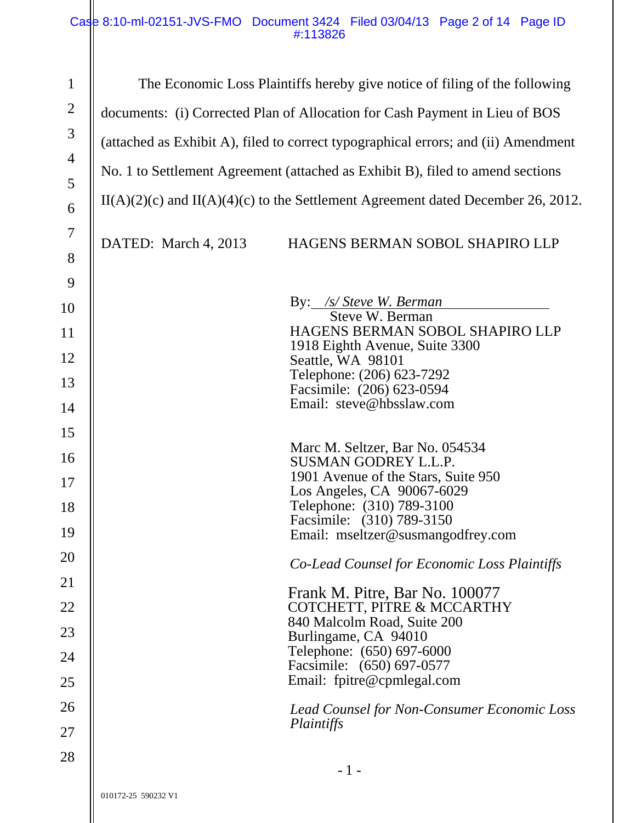### Case 8:10-ml-02151-JVS-FMO Document 3424 Filed 03/04/13 Page 2 of 14 Page ID #:113826

| $\mathbf{1}$   | The Economic Loss Plaintiffs hereby give notice of filing of the following           |  |  |
|----------------|--------------------------------------------------------------------------------------|--|--|
| $\overline{2}$ | documents: (i) Corrected Plan of Allocation for Cash Payment in Lieu of BOS          |  |  |
| 3              | (attached as Exhibit A), filed to correct typographical errors; and (ii) Amendment   |  |  |
| $\overline{4}$ |                                                                                      |  |  |
| 5              | No. 1 to Settlement Agreement (attached as Exhibit B), filed to amend sections       |  |  |
| 6              | $II(A)(2)(c)$ and $II(A)(4)(c)$ to the Settlement Agreement dated December 26, 2012. |  |  |
| $\overline{7}$ | DATED: March 4, 2013<br>HAGENS BERMAN SOBOL SHAPIRO LLP                              |  |  |
| 8              |                                                                                      |  |  |
| 9              |                                                                                      |  |  |
| 10             | By: /s/ Steve W. Berman<br>Steve W. Berman                                           |  |  |
| 11             | HAGENS BERMAN SOBOL SHAPIRO LLP                                                      |  |  |
| 12             | 1918 Eighth Avenue, Suite 3300<br>Seattle, WA 98101                                  |  |  |
| 13             | Telephone: (206) 623-7292                                                            |  |  |
|                | Facsimile: (206) 623-0594<br>Email: steve@hbsslaw.com                                |  |  |
| 14             |                                                                                      |  |  |
| 15             | Marc M. Seltzer, Bar No. 054534                                                      |  |  |
| 16             | <b>SUSMAN GODREY L.L.P.</b>                                                          |  |  |
| 17             | 1901 Avenue of the Stars, Suite 950<br>Los Angeles, CA 90067-6029                    |  |  |
| 18             | Telephone: (310) 789-3100                                                            |  |  |
| 19             | Facsimile: (310) 789-3150<br>Email: mseltzer@susmangodfrey.com                       |  |  |
| 20             | Co-Lead Counsel for Economic Loss Plaintiffs                                         |  |  |
| 21             |                                                                                      |  |  |
| 22             | Frank M. Pitre, Bar No. 100077<br>COTCHETT, PITRE & MCCARTHY                         |  |  |
| 23             | 840 Malcolm Road, Suite 200<br>Burlingame, CA 94010                                  |  |  |
| 24             | Telephone: (650) 697-6000                                                            |  |  |
| 25             | Facsimile: (650) 697-0577<br>Email: fpitre@cpmlegal.com                              |  |  |
|                |                                                                                      |  |  |
| 26             | Lead Counsel for Non-Consumer Economic Loss<br>Plaintiffs                            |  |  |
| 27             |                                                                                      |  |  |
| 28             | - 1 -                                                                                |  |  |
|                | 010172-25 590232 V1                                                                  |  |  |
|                |                                                                                      |  |  |

 $\overline{\phantom{a}}$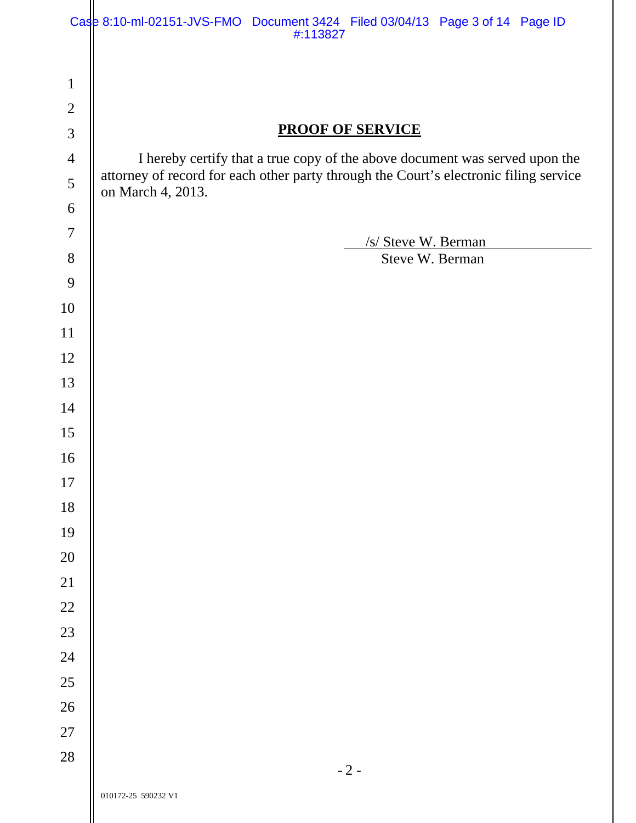|                                | Case 8:10-ml-02151-JVS-FMO Document 3424 Filed 03/04/13 Page 3 of 14 Page ID<br>#:113827 |  |
|--------------------------------|------------------------------------------------------------------------------------------|--|
|                                |                                                                                          |  |
| $\mathbf{1}$<br>$\overline{2}$ |                                                                                          |  |
| $\mathfrak{Z}$                 | <b>PROOF OF SERVICE</b>                                                                  |  |
| $\overline{4}$                 | I hereby certify that a true copy of the above document was served upon the              |  |
| 5                              | attorney of record for each other party through the Court's electronic filing service    |  |
| 6                              | on March 4, 2013.                                                                        |  |
| $\tau$                         |                                                                                          |  |
| 8                              | /s/ Steve W. Berman<br>Steve W. Berman                                                   |  |
| 9                              |                                                                                          |  |
| 10                             |                                                                                          |  |
| 11                             |                                                                                          |  |
| 12                             |                                                                                          |  |
| 13                             |                                                                                          |  |
| 14                             |                                                                                          |  |
| 15                             |                                                                                          |  |
| 16                             |                                                                                          |  |
| 17                             |                                                                                          |  |
| 18                             |                                                                                          |  |
| 19                             |                                                                                          |  |
| 20                             |                                                                                          |  |
| 21                             |                                                                                          |  |
| $22\,$                         |                                                                                          |  |
| $23\,$                         |                                                                                          |  |
| 24                             |                                                                                          |  |
| $25\,$                         |                                                                                          |  |
| $26\,$                         |                                                                                          |  |
| $27\,$                         |                                                                                          |  |
| 28                             | $-2-$                                                                                    |  |
|                                | 010172-25 590232 V1                                                                      |  |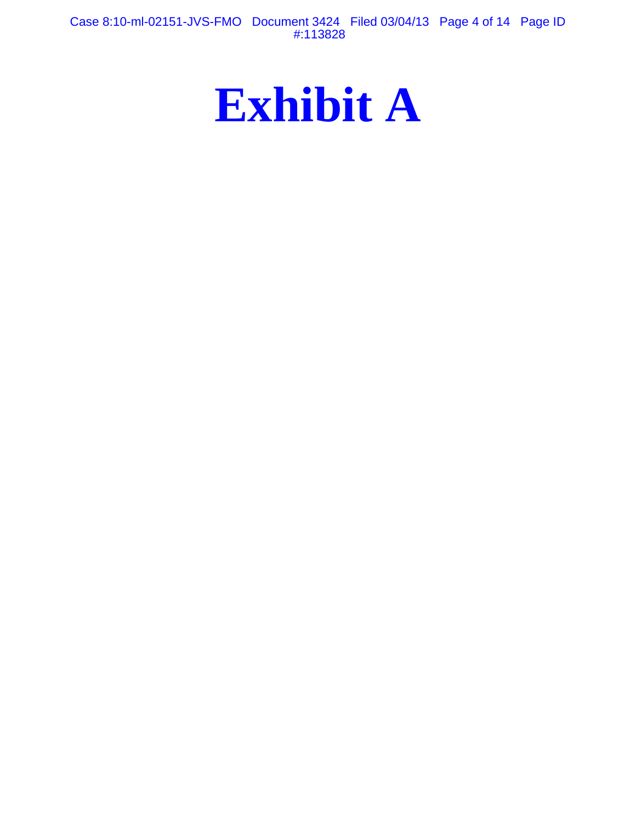Case 8:10-ml-02151-JVS-FMO Document 3424 Filed 03/04/13 Page 4 of 14 Page ID #:113828

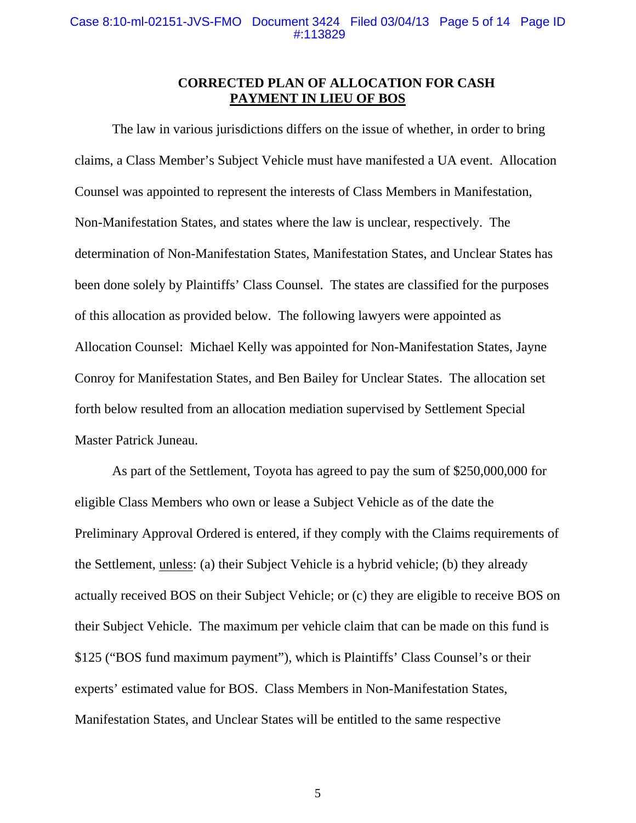#### **CORRECTED PLAN OF ALLOCATION FOR CASH PAYMENT IN LIEU OF BOS**

The law in various jurisdictions differs on the issue of whether, in order to bring claims, a Class Member's Subject Vehicle must have manifested a UA event. Allocation Counsel was appointed to represent the interests of Class Members in Manifestation, Non-Manifestation States, and states where the law is unclear, respectively. The determination of Non-Manifestation States, Manifestation States, and Unclear States has been done solely by Plaintiffs' Class Counsel. The states are classified for the purposes of this allocation as provided below. The following lawyers were appointed as Allocation Counsel: Michael Kelly was appointed for Non-Manifestation States, Jayne Conroy for Manifestation States, and Ben Bailey for Unclear States. The allocation set forth below resulted from an allocation mediation supervised by Settlement Special Master Patrick Juneau.

As part of the Settlement, Toyota has agreed to pay the sum of \$250,000,000 for eligible Class Members who own or lease a Subject Vehicle as of the date the Preliminary Approval Ordered is entered, if they comply with the Claims requirements of the Settlement, unless: (a) their Subject Vehicle is a hybrid vehicle; (b) they already actually received BOS on their Subject Vehicle; or (c) they are eligible to receive BOS on their Subject Vehicle. The maximum per vehicle claim that can be made on this fund is \$125 ("BOS fund maximum payment"), which is Plaintiffs' Class Counsel's or their experts' estimated value for BOS. Class Members in Non-Manifestation States, Manifestation States, and Unclear States will be entitled to the same respective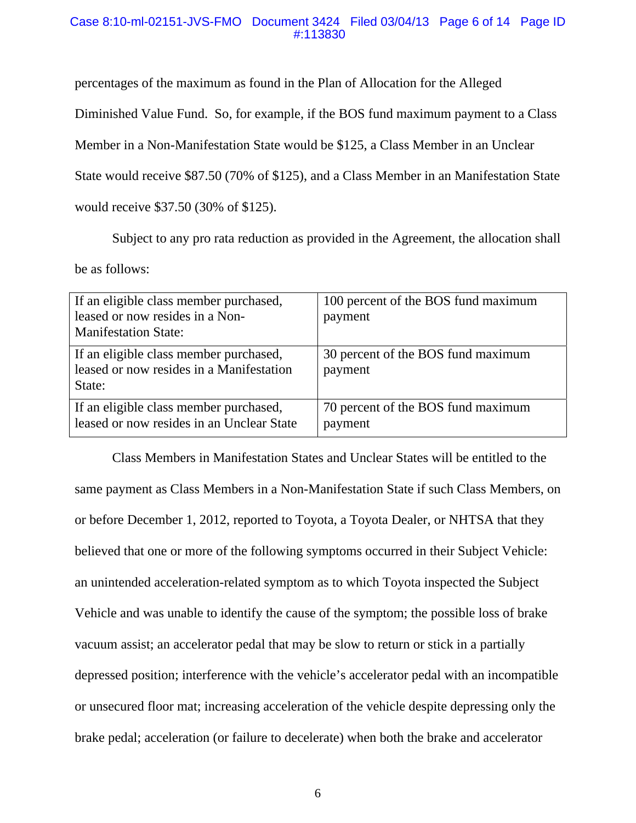#### Case 8:10-ml-02151-JVS-FMO Document 3424 Filed 03/04/13 Page 6 of 14 Page ID #:113830

percentages of the maximum as found in the Plan of Allocation for the Alleged

Diminished Value Fund. So, for example, if the BOS fund maximum payment to a Class

Member in a Non-Manifestation State would be \$125, a Class Member in an Unclear

State would receive \$87.50 (70% of \$125), and a Class Member in an Manifestation State

would receive \$37.50 (30% of \$125).

Subject to any pro rata reduction as provided in the Agreement, the allocation shall

be as follows:

| If an eligible class member purchased,<br>leased or now resides in a Non-<br><b>Manifestation State:</b> | 100 percent of the BOS fund maximum<br>payment |
|----------------------------------------------------------------------------------------------------------|------------------------------------------------|
| If an eligible class member purchased,<br>leased or now resides in a Manifestation<br>State:             | 30 percent of the BOS fund maximum<br>payment  |
| If an eligible class member purchased,<br>leased or now resides in an Unclear State                      | 70 percent of the BOS fund maximum<br>payment  |

Class Members in Manifestation States and Unclear States will be entitled to the same payment as Class Members in a Non-Manifestation State if such Class Members, on or before December 1, 2012, reported to Toyota, a Toyota Dealer, or NHTSA that they believed that one or more of the following symptoms occurred in their Subject Vehicle: an unintended acceleration-related symptom as to which Toyota inspected the Subject Vehicle and was unable to identify the cause of the symptom; the possible loss of brake vacuum assist; an accelerator pedal that may be slow to return or stick in a partially depressed position; interference with the vehicle's accelerator pedal with an incompatible or unsecured floor mat; increasing acceleration of the vehicle despite depressing only the brake pedal; acceleration (or failure to decelerate) when both the brake and accelerator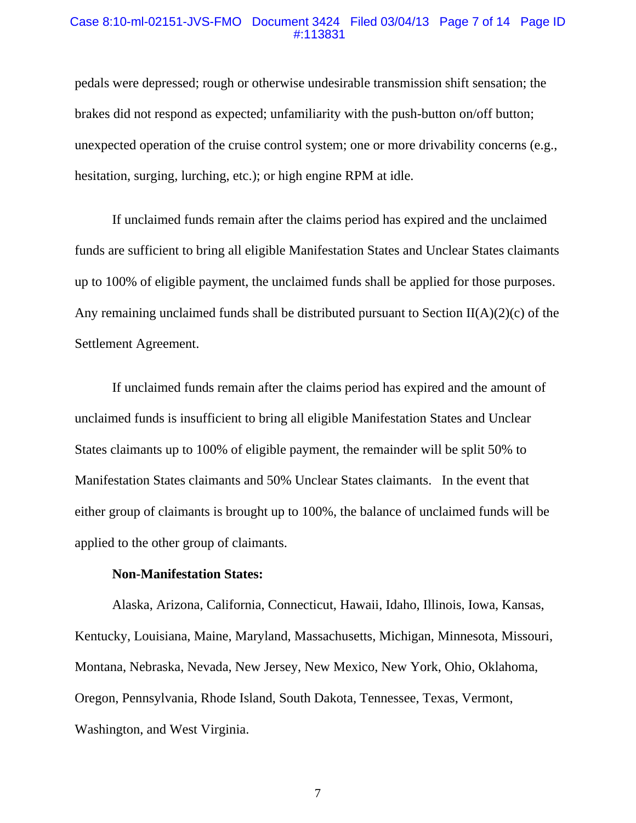#### Case 8:10-ml-02151-JVS-FMO Document 3424 Filed 03/04/13 Page 7 of 14 Page ID #:113831

pedals were depressed; rough or otherwise undesirable transmission shift sensation; the brakes did not respond as expected; unfamiliarity with the push-button on/off button; unexpected operation of the cruise control system; one or more drivability concerns (e.g., hesitation, surging, lurching, etc.); or high engine RPM at idle.

If unclaimed funds remain after the claims period has expired and the unclaimed funds are sufficient to bring all eligible Manifestation States and Unclear States claimants up to 100% of eligible payment, the unclaimed funds shall be applied for those purposes. Any remaining unclaimed funds shall be distributed pursuant to Section  $II(A)(2)(c)$  of the Settlement Agreement.

If unclaimed funds remain after the claims period has expired and the amount of unclaimed funds is insufficient to bring all eligible Manifestation States and Unclear States claimants up to 100% of eligible payment, the remainder will be split 50% to Manifestation States claimants and 50% Unclear States claimants. In the event that either group of claimants is brought up to 100%, the balance of unclaimed funds will be applied to the other group of claimants.

#### **Non-Manifestation States:**

Alaska, Arizona, California, Connecticut, Hawaii, Idaho, Illinois, Iowa, Kansas, Kentucky, Louisiana, Maine, Maryland, Massachusetts, Michigan, Minnesota, Missouri, Montana, Nebraska, Nevada, New Jersey, New Mexico, New York, Ohio, Oklahoma, Oregon, Pennsylvania, Rhode Island, South Dakota, Tennessee, Texas, Vermont, Washington, and West Virginia.

7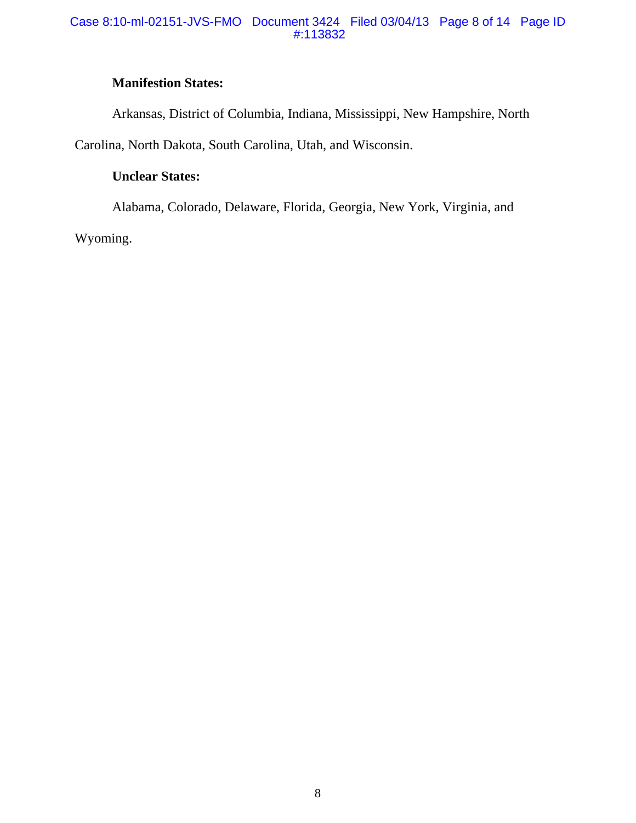#### Case 8:10-ml-02151-JVS-FMO Document 3424 Filed 03/04/13 Page 8 of 14 Page ID #:113832

# **Manifestion States:**

Arkansas, District of Columbia, Indiana, Mississippi, New Hampshire, North

Carolina, North Dakota, South Carolina, Utah, and Wisconsin.

# **Unclear States:**

Alabama, Colorado, Delaware, Florida, Georgia, New York, Virginia, and

Wyoming.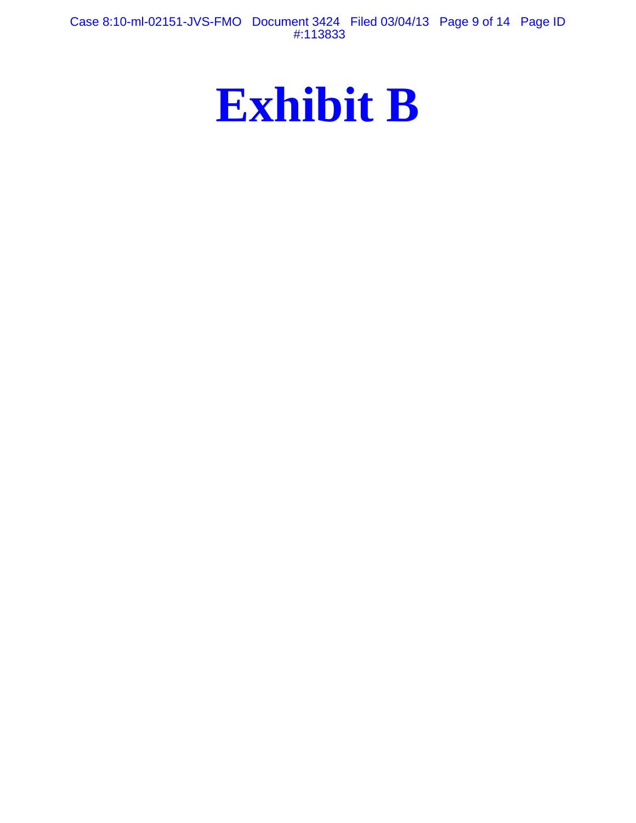Case 8:10-ml-02151-JVS-FMO Document 3424 Filed 03/04/13 Page 9 of 14 Page ID #:113833

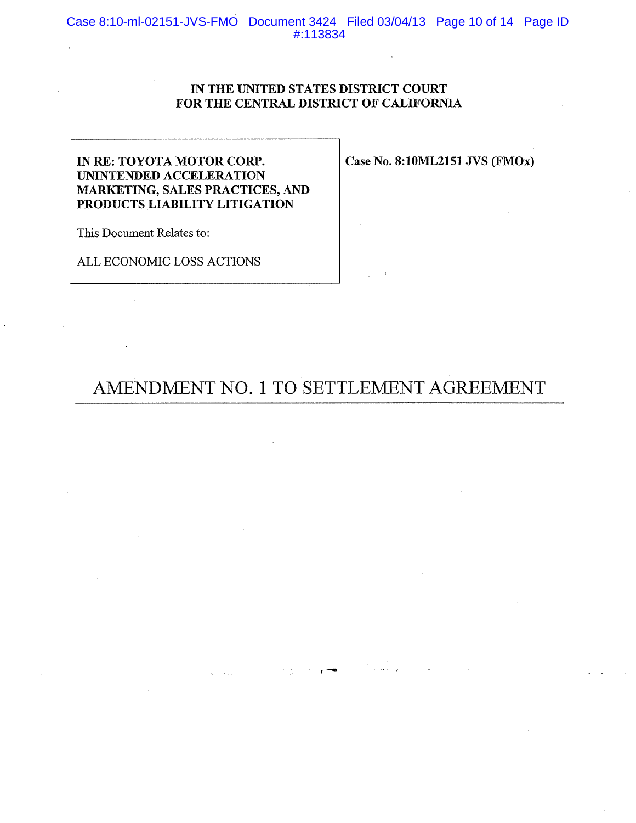Case 8:10-ml-02151-JVS-FMO Document 3424 Filed 03/04/13 Page 10 of 14 Page ID #:113834

#### IN THE UNITED STATES DISTRICT COURT FOR THE CENTRAL DISTRICT OF CALIFORNIA

### IN RE: TOYOTA MOTOR CORP. UNINTENDED ACCELERATION **MARKETING, SALES PRACTICES, AND** PRODUCTS LIABILITY LITIGATION

 $\hat{A}$ 

This Document Relates to:

 $\mathcal{L}_{\rm{max}}$ 

 $\bar{\mathbf{r}}$ 

ALL ECONOMIC LOSS ACTIONS

Case No. 8:10ML2151 JVS (FMOx)

 $\sim$ 

 $\sim 10^{-1}$ 

# AMENDMENT NO. 1 TO SETTLEMENT AGREEMENT

 $\label{eq:3.1} \mathcal{D}(\mathcal{A})=\mathcal{D}(\mathcal{A})\mathcal{A}(\mathcal{A})\mathcal{B}(\mathcal{A})$ 

 $\omega$  . The second  $\omega$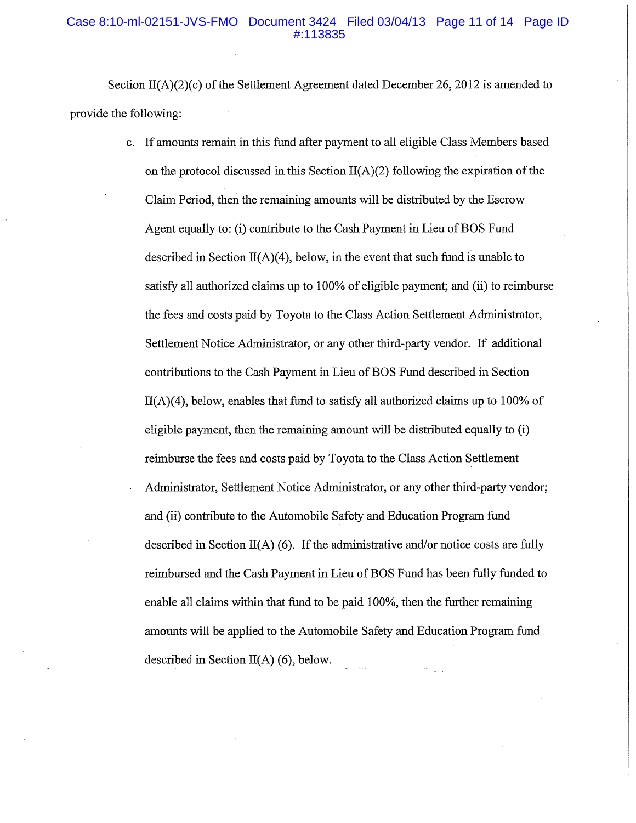#### Case 8:10-ml-02151-JVS-FMO Document 3424 Filed 03/04/13 Page 11 of 14 Page ID #:113835

Section II(A)(2)(c) of the Settlement Agreement dated December 26, 2012 is amended to provide the following:

> If amounts remain in this fund after payment to all eligible Class Members based on the protocol discussed in this Section  $II(A)(2)$  following the expiration of the Claim Period, then the remaining amounts will be distributed by the Escrow Agent equally to: (i) contribute to the Cash Payment in Lieu of BOS Fund described in Section II(A)(4), below, in the event that such fund is unable to satisfy all authorized claims up to 100% of eligible payment; and (ii) to reimburse the fees and costs paid by Toyota to the Class Action Settlement Administrator, Settlement Notice Administrator, or any other third-party vendor. If additional contributions to the Cash Payment in Lieu of BOS Fund described in Section  $II(A)(4)$ , below, enables that fund to satisfy all authorized claims up to 100% of eligible payment, then the remaining amount will be distributed equally to (i) reimburse the fees and costs paid by Toyota to the Class Action Settlement Administrator, Settlement Notice Administrator, or any other third-party vendor; and (ii) contribute to the Automobile Safety and Education Program fund described in Section  $II(A)$  (6). If the administrative and/or notice costs are fully reimbursed and the Cash Payment in Lieu of BOS Fund has been fully funded to enable all claims within that fund to be paid 100%, then the further remaining amounts will be applied to the Automobile Safety and Education Program fund described in Section  $II(A)$  (6), below.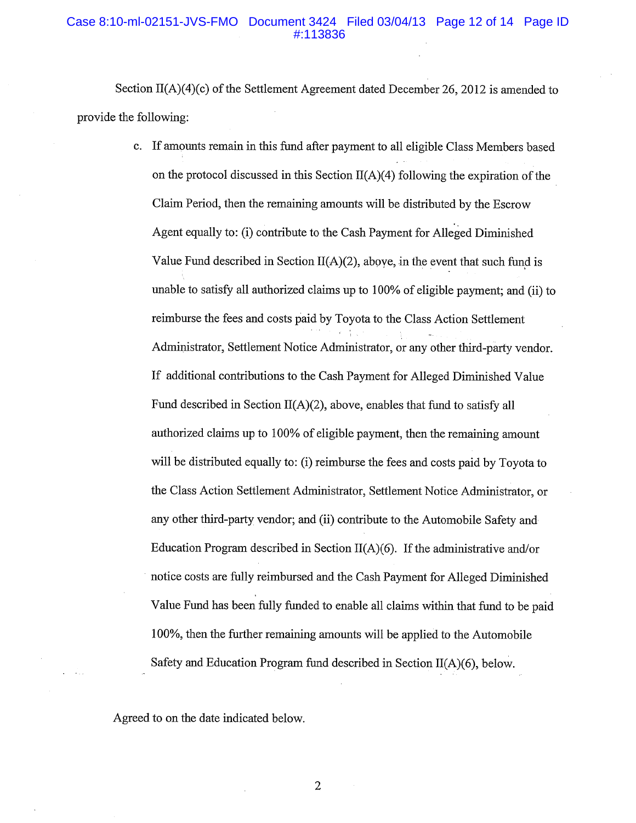#### Case 8:10-ml-02151-JVS-FMO Document 3424 Filed 03/04/13 Page 12 of 14 Page ID #:113836

Section II(A)(4)(c) of the Settlement Agreement dated December 26, 2012 is amended to provide the following:

> c. If amounts remain in this fund after payment to all eligible Class Members based on the protocol discussed in this Section  $II(A)(4)$  following the expiration of the Claim Period, then the remaining amounts will be distributed by the Escrow Agent equally to: (i) contribute to the Cash Payment for Alleged Diminished Value Fund described in Section  $II(A)(2)$ , above, in the event that such fund is unable to satisfy all authorized claims up to 100% of eligible payment; and (ii) to reimburse the fees and costs paid by Toyota to the Class Action Settlement Administrator, Settlement Notice Administrator, or any other third-party vendor. If additional contributions to the Cash Payment for Alleged Diminished Value Fund described in Section  $II(A)(2)$ , above, enables that fund to satisfy all authorized claims up to 100% of eligible payment, then the remaining amount will be distributed equally to: (i) reimburse the fees and costs paid by Toyota to the Class Action Settlement Administrator, Settlement Notice Administrator, or any other third-party vendor; and (ii) contribute to the Automobile Safety and Education Program described in Section  $II(A)(6)$ . If the administrative and/or notice costs are fully reimbursed and the Cash Payment for Alleged Diminished Value Fund has been fully funded to enable all claims within that fund to be paid 100%, then the further remaining amounts will be applied to the Automobile Safety and Education Program fund described in Section  $II(A)(6)$ , below.

Agreed to on the date indicated below.

 $\overline{2}$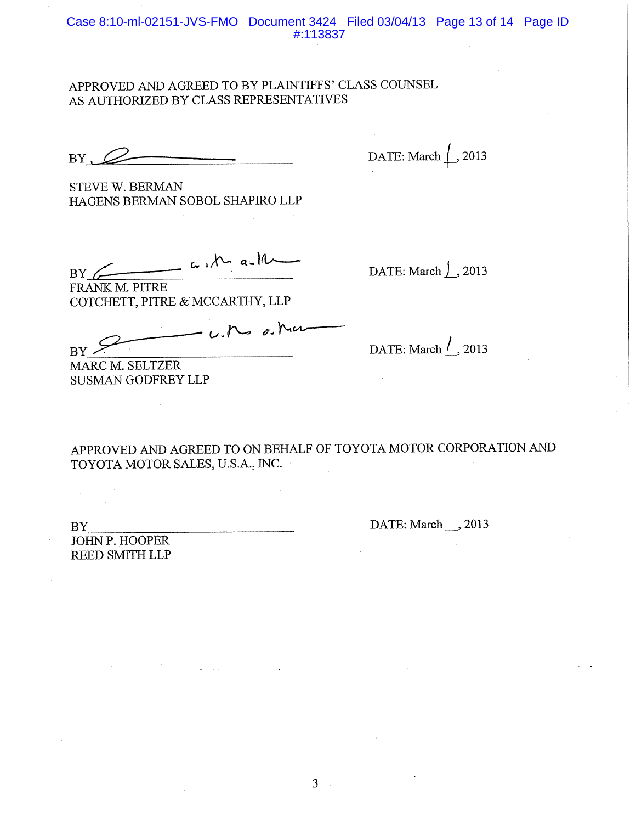## APPROVED AND AGREED TO BY PLAINTIFFS' CLASS COUNSEL AS AUTHORIZED BY CLASS REPRESENTATIVES

 $BY. \n\varnothing$ 

DATE: March  $\left\lfloor .2013 \right\rfloor$ 

**STEVE W. BERMAN** HAGENS BERMAN SOBOL SHAPIRO LLP

 $\frac{1}{\sqrt{1-\frac{1}{1-\frac{1}{1-\frac{1}{1-\frac{1}{1-\frac{1}{1-\frac{1}{1-\frac{1}{1-\frac{1}{1-\frac{1}{1-\frac{1}{1-\frac{1}{1-\frac{1}{1-\frac{1}{1-\frac{1}{1-\frac{1}{1-\frac{1}{1-\frac{1}{1-\frac{1}{1-\frac{1}{1-\frac{1}{1-\frac{1}{1-\frac{1}{1-\frac{1}{1-\frac{1}{1-\frac{1}{1-\frac{1}{1-\frac{1}{1-\frac{1}{1-\frac{1}{1-\frac{1}{1-\frac{1}{1-\frac{1}{1-\frac{1}{1-\frac{1}{1-\frac{1}{1-\$  $BY \nightharpoonup$ 

DATE: March  $\int$ , 2013

FRANK M. PITRE COTCHETT, PITRE & MCCARTHY, LLP

- with on Ma  $BY$ 

MARC M. SELTZER **SUSMAN GODFREY LLP**  DATE: March  $\frac{1}{2}$ , 2013

APPROVED AND AGREED TO ON BEHALF OF TOYOTA MOTOR CORPORATION AND TOYOTA MOTOR SALES, U.S.A., INC.

 $BY$ 

JOHN P. HOOPER **REED SMITH LLP**  DATE: March \_\_ , 2013